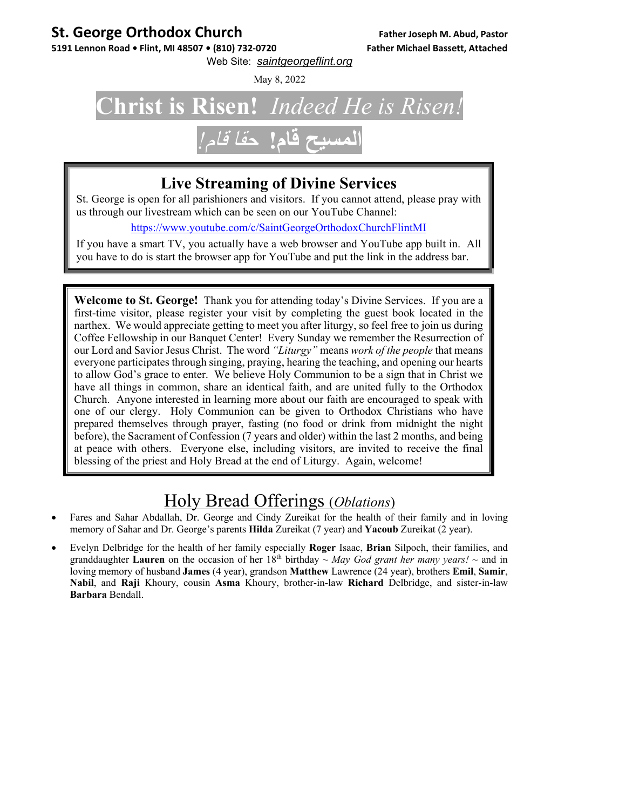#### **St. George Orthodox Church Father Joseph M. Abud, Pastor**

5191 Lennon Road . Flint, MI 48507 . (810) 732-0720 Father Michael Bassett, Attached

Web Site: *saintgeorgeflint.org*

May 8, 2022

### **Christ is Risen!** *Indeed He is Risen!*  **المسيح قام!** حقا قام*!*

#### **Live Streaming of Divine Services**

St. George is open for all parishioners and visitors. If you cannot attend, please pray with us through our livestream which can be seen on our YouTube Channel:

https://www.youtube.com/c/SaintGeorgeOrthodoxChurchFlintMI

If you have a smart TV, you actually have a web browser and YouTube app built in. All you have to do is start the browser app for YouTube and put the link in the address bar.

**Welcome to St. George!** Thank you for attending today's Divine Services. If you are a first-time visitor, please register your visit by completing the guest book located in the narthex. We would appreciate getting to meet you after liturgy, so feel free to join us during Coffee Fellowship in our Banquet Center! Every Sunday we remember the Resurrection of our Lord and Savior Jesus Christ. The word *"Liturgy"* means *work of the people* that means everyone participates through singing, praying, hearing the teaching, and opening our hearts to allow God's grace to enter. We believe Holy Communion to be a sign that in Christ we have all things in common, share an identical faith, and are united fully to the Orthodox Church. Anyone interested in learning more about our faith are encouraged to speak with one of our clergy. Holy Communion can be given to Orthodox Christians who have prepared themselves through prayer, fasting (no food or drink from midnight the night before), the Sacrament of Confession (7 years and older) within the last 2 months, and being at peace with others. Everyone else, including visitors, are invited to receive the final blessing of the priest and Holy Bread at the end of Liturgy. Again, welcome!

#### Holy Bread Offerings (*Oblations*)

- Fares and Sahar Abdallah, Dr. George and Cindy Zureikat for the health of their family and in loving memory of Sahar and Dr. George's parents **Hilda** Zureikat (7 year) and **Yacoub** Zureikat (2 year).
- Evelyn Delbridge for the health of her family especially **Roger** Isaac, **Brian** Silpoch, their families, and granddaughter **Lauren** on the occasion of her  $18<sup>th</sup>$  birthday ~ *May God grant her many years!* ~ and in loving memory of husband **James** (4 year), grandson **Matthew** Lawrence (24 year), brothers **Emil**, **Samir**, **Nabil**, and **Raji** Khoury, cousin **Asma** Khoury, brother-in-law **Richard** Delbridge, and sister-in-law **Barbara** Bendall.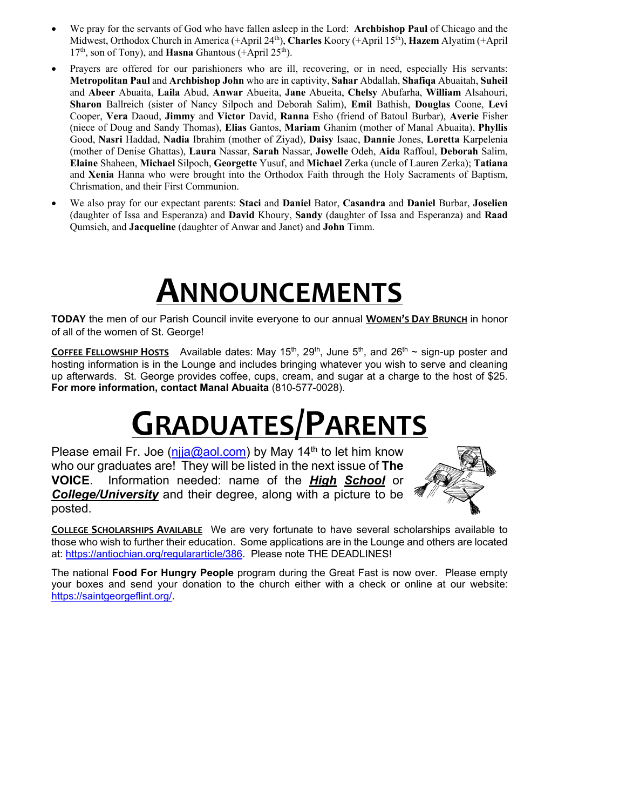- We pray for the servants of God who have fallen asleep in the Lord: **Archbishop Paul** of Chicago and the Midwest, Orthodox Church in America (+April 24th), **Charles** Koory (+April 15th), **Hazem** Alyatim (+April 17th, son of Tony), and **Hasna** Ghantous (+April 25th).
- Prayers are offered for our parishioners who are ill, recovering, or in need, especially His servants: **Metropolitan Paul** and **Archbishop John** who are in captivity, **Sahar** Abdallah, **Shafiqa** Abuaitah, **Suheil**  and **Abeer** Abuaita, **Laila** Abud, **Anwar** Abueita, **Jane** Abueita, **Chelsy** Abufarha, **William** Alsahouri, **Sharon** Ballreich (sister of Nancy Silpoch and Deborah Salim), **Emil** Bathish, **Douglas** Coone, **Levi** Cooper, **Vera** Daoud, **Jimmy** and **Victor** David, **Ranna** Esho (friend of Batoul Burbar), **Averie** Fisher (niece of Doug and Sandy Thomas), **Elias** Gantos, **Mariam** Ghanim (mother of Manal Abuaita), **Phyllis** Good, **Nasri** Haddad, **Nadia** Ibrahim (mother of Ziyad), **Daisy** Isaac, **Dannie** Jones, **Loretta** Karpelenia (mother of Denise Ghattas), **Laura** Nassar, **Sarah** Nassar, **Jowelle** Odeh, **Aida** Raffoul, **Deborah** Salim, **Elaine** Shaheen, **Michael** Silpoch, **Georgette** Yusuf, and **Michael** Zerka (uncle of Lauren Zerka); **Tatiana**  and **Xenia** Hanna who were brought into the Orthodox Faith through the Holy Sacraments of Baptism, Chrismation, and their First Communion.
- We also pray for our expectant parents: **Staci** and **Daniel** Bator, **Casandra** and **Daniel** Burbar, **Joselien** (daughter of Issa and Esperanza) and **David** Khoury, **Sandy** (daughter of Issa and Esperanza) and **Raad** Qumsieh, and **Jacqueline** (daughter of Anwar and Janet) and **John** Timm.

## **ANNOUNCEMENTS**

**TODAY** the men of our Parish Council invite everyone to our annual **WOMEN'S DAY BRUNCH** in honor of all of the women of St. George!

**COFFEE FELLOWSHIP HOSTS** Available dates: May  $15<sup>th</sup>$ ,  $29<sup>th</sup>$ , June  $5<sup>th</sup>$ , and  $26<sup>th</sup> \sim$  sign-up poster and hosting information is in the Lounge and includes bringing whatever you wish to serve and cleaning up afterwards. St. George provides coffee, cups, cream, and sugar at a charge to the host of \$25. **For more information, contact Manal Abuaita** (810-577-0028).

## **GRADUATES/PARENTS**

Please email Fr. Joe ( $n$ ija@aol.com) by May 14<sup>th</sup> to let him know who our graduates are! They will be listed in the next issue of **The VOICE**. Information needed: name of the *High School* or *College/University* and their degree, along with a picture to be posted.



**COLLEGE SCHOLARSHIPS AVAILABLE** We are very fortunate to have several scholarships available to those who wish to further their education. Some applications are in the Lounge and others are located at: https://antiochian.org/regulararticle/386. Please note THE DEADLINES!

The national **Food For Hungry People** program during the Great Fast is now over. Please empty your boxes and send your donation to the church either with a check or online at our website: https://saintgeorgeflint.org/.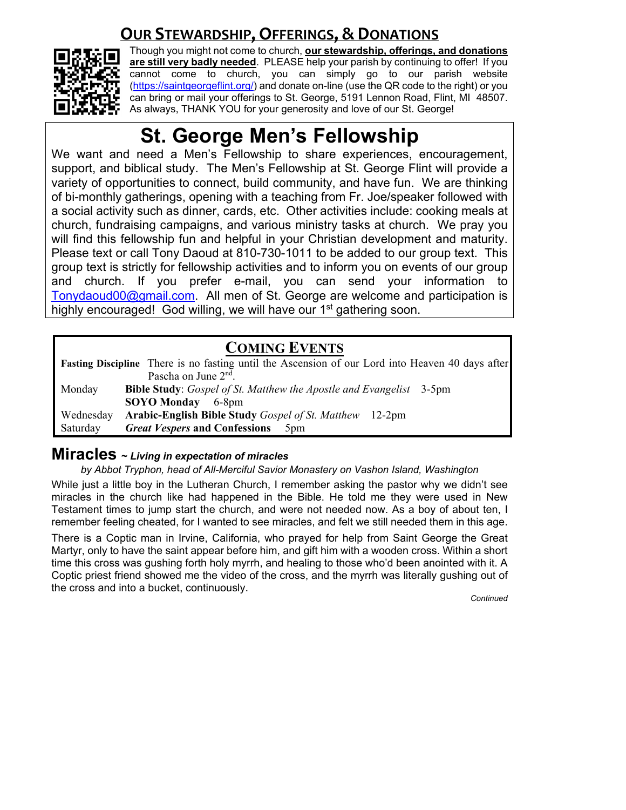#### **OUR STEWARDSHIP, OFFERINGS, & DONATIONS**



Though you might not come to church, **our stewardship, offerings, and donations are still very badly needed**. PLEASE help your parish by continuing to offer! If you cannot come to church, you can simply go to our parish website (https://saintgeorgeflint.org/) and donate on-line (use the QR code to the right) or you can bring or mail your offerings to St. George, 5191 Lennon Road, Flint, MI 48507. As always, THANK YOU for your generosity and love of our St. George!

### **St. George Men's Fellowship**

We want and need a Men's Fellowship to share experiences, encouragement, support, and biblical study. The Men's Fellowship at St. George Flint will provide a variety of opportunities to connect, build community, and have fun. We are thinking of bi-monthly gatherings, opening with a teaching from Fr. Joe/speaker followed with a social activity such as dinner, cards, etc. Other activities include: cooking meals at church, fundraising campaigns, and various ministry tasks at church. We pray you will find this fellowship fun and helpful in your Christian development and maturity. Please text or call Tony Daoud at 810-730-1011 to be added to our group text. This group text is strictly for fellowship activities and to inform you on events of our group and church. If you prefer e-mail, you can send your information to Tonydaoud00@gmail.com. All men of St. George are welcome and participation is highly encouraged! God willing, we will have our 1<sup>st</sup> gathering soon.

#### **COMING EVENTS**

**Fasting Discipline** There is no fasting until the Ascension of our Lord into Heaven 40 days after Pascha on June 2<sup>nd</sup>. Monday **Bible Study**: *Gospel of St. Matthew the Apostle and Evangelist* 3-5pm **SOYO Monday** 6-8pm Wednesday **Arabic-English Bible Study** *Gospel of St. Matthew* 12-2pm Saturday *Great Vespers* **and Confessions** 5pm

#### **Miracles ~** *Living in expectation of miracles*

*by Abbot Tryphon, head of All-Merciful Savior Monastery on Vashon Island, Washington* 

While just a little boy in the Lutheran Church, I remember asking the pastor why we didn't see miracles in the church like had happened in the Bible. He told me they were used in New Testament times to jump start the church, and were not needed now. As a boy of about ten, I remember feeling cheated, for I wanted to see miracles, and felt we still needed them in this age.

There is a Coptic man in Irvine, California, who prayed for help from Saint George the Great Martyr, only to have the saint appear before him, and gift him with a wooden cross. Within a short time this cross was gushing forth holy myrrh, and healing to those who'd been anointed with it. A Coptic priest friend showed me the video of the cross, and the myrrh was literally gushing out of the cross and into a bucket, continuously.

*Continued*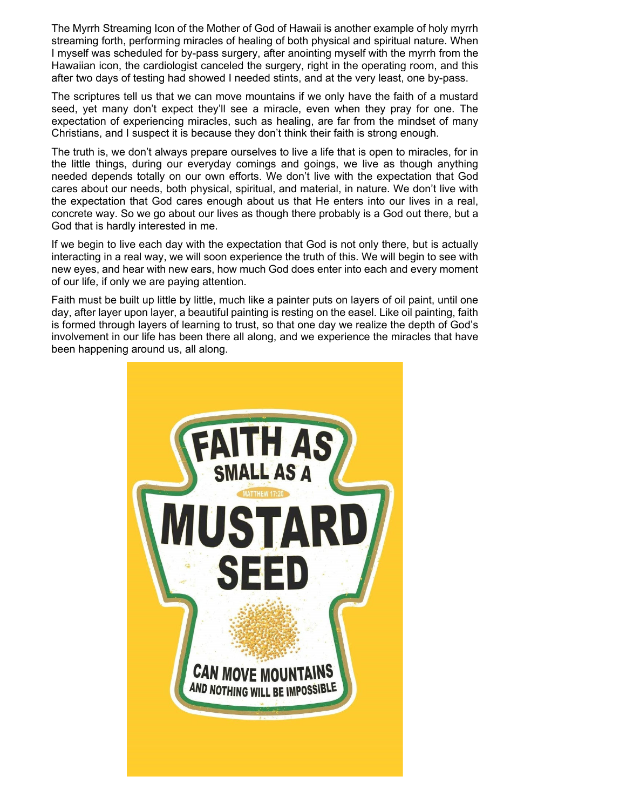The Myrrh Streaming Icon of the Mother of God of Hawaii is another example of holy myrrh streaming forth, performing miracles of healing of both physical and spiritual nature. When I myself was scheduled for by-pass surgery, after anointing myself with the myrrh from the Hawaiian icon, the cardiologist canceled the surgery, right in the operating room, and this after two days of testing had showed I needed stints, and at the very least, one by-pass.

The scriptures tell us that we can move mountains if we only have the faith of a mustard seed, yet many don't expect they'll see a miracle, even when they pray for one. The expectation of experiencing miracles, such as healing, are far from the mindset of many Christians, and I suspect it is because they don't think their faith is strong enough.

The truth is, we don't always prepare ourselves to live a life that is open to miracles, for in the little things, during our everyday comings and goings, we live as though anything needed depends totally on our own efforts. We don't live with the expectation that God cares about our needs, both physical, spiritual, and material, in nature. We don't live with the expectation that God cares enough about us that He enters into our lives in a real, concrete way. So we go about our lives as though there probably is a God out there, but a God that is hardly interested in me.

If we begin to live each day with the expectation that God is not only there, but is actually interacting in a real way, we will soon experience the truth of this. We will begin to see with new eyes, and hear with new ears, how much God does enter into each and every moment of our life, if only we are paying attention.

Faith must be built up little by little, much like a painter puts on layers of oil paint, until one day, after layer upon layer, a beautiful painting is resting on the easel. Like oil painting, faith is formed through layers of learning to trust, so that one day we realize the depth of God's involvement in our life has been there all along, and we experience the miracles that have been happening around us, all along.